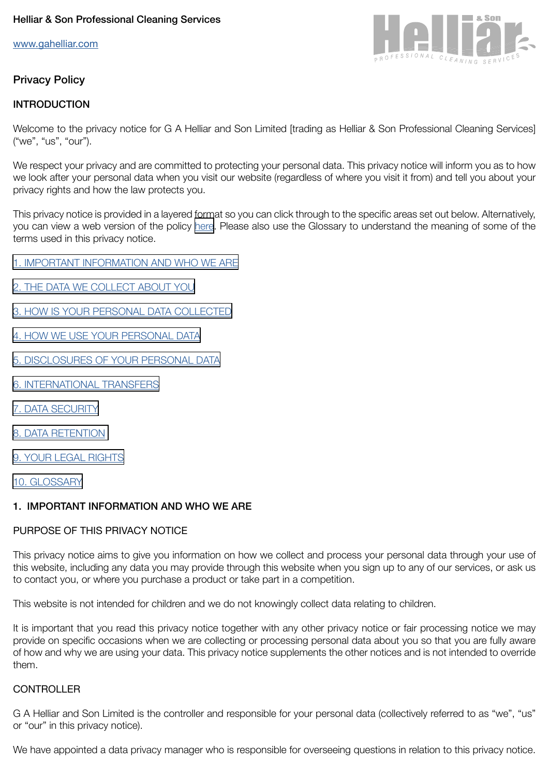[www.gahelliar.com](http://www.gahelliar.com)



# Privacy Policy

# INTRODUCTION

Welcome to the privacy notice for G A Helliar and Son Limited [trading as Helliar & Son Professional Cleaning Services] ("we", "us", "our").

We respect your privacy and are committed to protecting your personal data. This privacy notice will inform you as to how we look after your personal data when you visit our website (regardless of where you visit it from) and tell you about your privacy rights and how the law protects you.

This privacy notice is provided in a layered format so you can click through to the specific areas set out below. Alternatively, you can view a web version of the policy [here.](http://www.gahelliar.com/privacy-policy) Please also use the Glossary to understand the meaning of some of the terms used in this privacy notice.

- 1. IMPORTANT INFORMATION AND WHO WE ARE
- 2. THE DATA WE COLLECT ABOUT YOU
- 3. HOW IS YOUR PERSONAL DATA COLLECTED
- 4. HOW WE USE YOUR PERSONAL DATA
- 5. DISCLOSURES OF YOUR PERSONAL DATA
- 6. INTERNATIONAL TRANSFERS
- 7. DATA SECURITY
- 8. DATA RETENTION
- 9. YOUR LEGAL RIGHTS

#### 10. GLOSSARY

# 1. IMPORTANT INFORMATION AND WHO WE ARE

# PURPOSE OF THIS PRIVACY NOTICE

This privacy notice aims to give you information on how we collect and process your personal data through your use of this website, including any data you may provide through this website when you sign up to any of our services, or ask us to contact you, or where you purchase a product or take part in a competition.

This website is not intended for children and we do not knowingly collect data relating to children.

It is important that you read this privacy notice together with any other privacy notice or fair processing notice we may provide on specific occasions when we are collecting or processing personal data about you so that you are fully aware of how and why we are using your data. This privacy notice supplements the other notices and is not intended to override them.

# **CONTROLLER**

G A Helliar and Son Limited is the controller and responsible for your personal data (collectively referred to as "we", "us" or "our" in this privacy notice).

We have appointed a data privacy manager who is responsible for overseeing questions in relation to this privacy notice.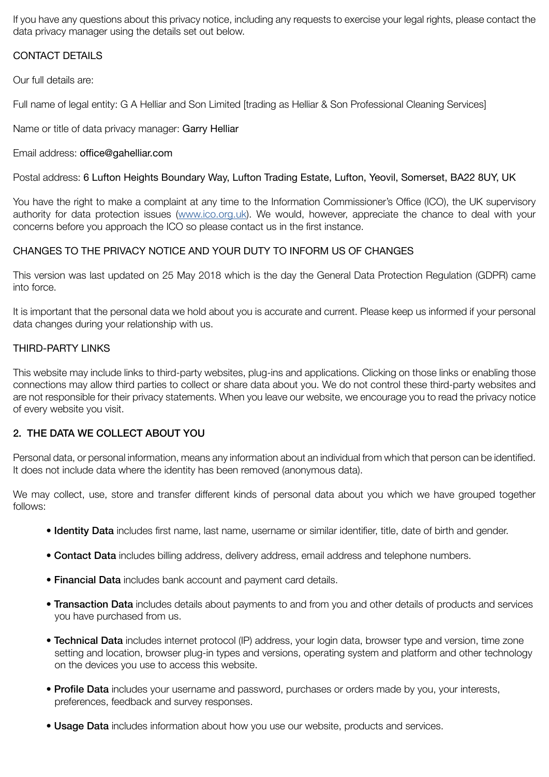If you have any questions about this privacy notice, including any requests to exercise your legal rights, please contact the data privacy manager using the details set out below.

# <span id="page-1-0"></span>CONTACT DETAILS

Our full details are:

Full name of legal entity: G A Helliar and Son Limited [trading as Helliar & Son Professional Cleaning Services]

Name or title of data privacy manager: Garry Helliar

#### Email address: office@gahelliar.com

#### Postal address: 6 Lufton Heights Boundary Way, Lufton Trading Estate, Lufton, Yeovil, Somerset, BA22 8UY, UK

You have the right to make a complaint at any time to the Information Commissioner's Office (ICO), the UK supervisory authority for data protection issues [\(www.ico.org.uk](http://www.ico.org.uk)). We would, however, appreciate the chance to deal with your concerns before you approach the ICO so please contact us in the first instance.

# CHANGES TO THE PRIVACY NOTICE AND YOUR DUTY TO INFORM US OF CHANGES

This version was last updated on 25 May 2018 which is the day the General Data Protection Regulation (GDPR) came into force.

It is important that the personal data we hold about you is accurate and current. Please keep us informed if your personal data changes during your relationship with us.

#### THIRD-PARTY LINKS

This website may include links to third-party websites, plug-ins and applications. Clicking on those links or enabling those connections may allow third parties to collect or share data about you. We do not control these third-party websites and are not responsible for their privacy statements. When you leave our website, we encourage you to read the privacy notice of every website you visit.

# 2. THE DATA WE COLLECT ABOUT YOU

Personal data, or personal information, means any information about an individual from which that person can be identified. It does not include data where the identity has been removed (anonymous data).

We may collect, use, store and transfer different kinds of personal data about you which we have grouped together follows:

- Identity Data includes first name, last name, username or similar identifier, title, date of birth and gender.
- Contact Data includes billing address, delivery address, email address and telephone numbers.
- Financial Data includes bank account and payment card details.
- Transaction Data includes details about payments to and from you and other details of products and services you have purchased from us.
- Technical Data includes internet protocol (IP) address, your login data, browser type and version, time zone setting and location, browser plug-in types and versions, operating system and platform and other technology on the devices you use to access this website.
- Profile Data includes your username and password, purchases or orders made by you, your interests, preferences, feedback and survey responses.
- Usage Data includes information about how you use our website, products and services.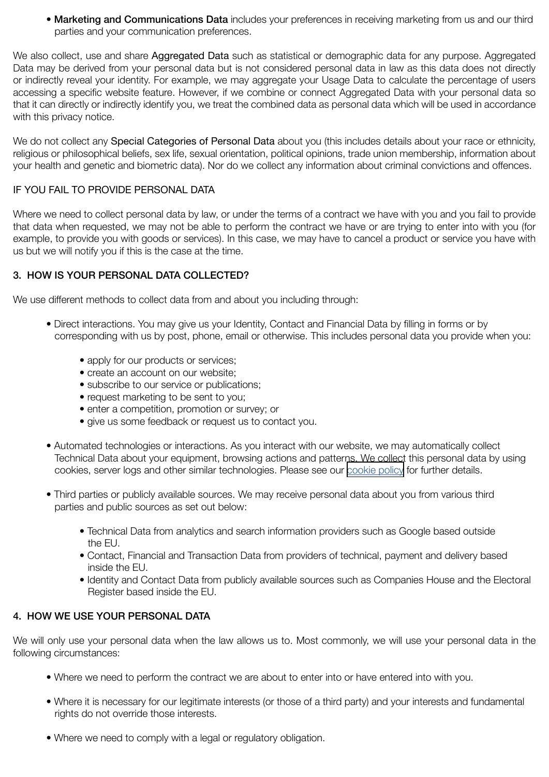• Marketing and Communications Data includes your preferences in receiving marketing from us and our third parties and your communication preferences.

We also collect, use and share Aggregated Data such as statistical or demographic data for any purpose. Aggregated Data may be derived from your personal data but is not considered personal data in law as this data does not directly or indirectly reveal your identity. For example, we may aggregate your Usage Data to calculate the percentage of users accessing a specific website feature. However, if we combine or connect Aggregated Data with your personal data so that it can directly or indirectly identify you, we treat the combined data as personal data which will be used in accordance with this privacy notice.

We do not collect any Special Categories of Personal Data about you (this includes details about your race or ethnicity, religious or philosophical beliefs, sex life, sexual orientation, political opinions, trade union membership, information about your health and genetic and biometric data). Nor do we collect any information about criminal convictions and offences.

# IF YOU FAIL TO PROVIDE PERSONAL DATA

Where we need to collect personal data by law, or under the terms of a contract we have with you and you fail to provide that data when requested, we may not be able to perform the contract we have or are trying to enter into with you (for example, to provide you with goods or services). In this case, we may have to cancel a product or service you have with us but we will notify you if this is the case at the time.

# 3. HOW IS YOUR PERSONAL DATA COLLECTED?

We use different methods to collect data from and about you including through:

- Direct interactions. You may give us your Identity, Contact and Financial Data by filling in forms or by corresponding with us by post, phone, email or otherwise. This includes personal data you provide when you:
	- apply for our products or services;
	- create an account on our website:
	- subscribe to our service or publications:
	- request marketing to be sent to you;
	- enter a competition, promotion or survey; or
	- give us some feedback or request us to contact you.
- Automated technologies or interactions. As you interact with our website, we may automatically collect Technical Data about your equipment, browsing actions and patterns. We collect this personal data by using cookies, server logs and other similar technologies. Please see our [cookie policy](http://www.gahelliar.com/privacy-policy) for further details.
- Third parties or publicly available sources. We may receive personal data about you from various third parties and public sources as set out below:
	- Technical Data from analytics and search information providers such as Google based outside the EU.
	- Contact, Financial and Transaction Data from providers of technical, payment and delivery based inside the EU.
	- Identity and Contact Data from publicly available sources such as Companies House and the Electoral Register based inside the EU.

#### 4. HOW WE USE YOUR PERSONAL DATA

We will only use your personal data when the law allows us to. Most commonly, we will use your personal data in the following circumstances:

- Where we need to perform the contract we are about to enter into or have entered into with you.
- Where it is necessary for our legitimate interests (or those of a third party) and your interests and fundamental rights do not override those interests.
- Where we need to comply with a legal or regulatory obligation.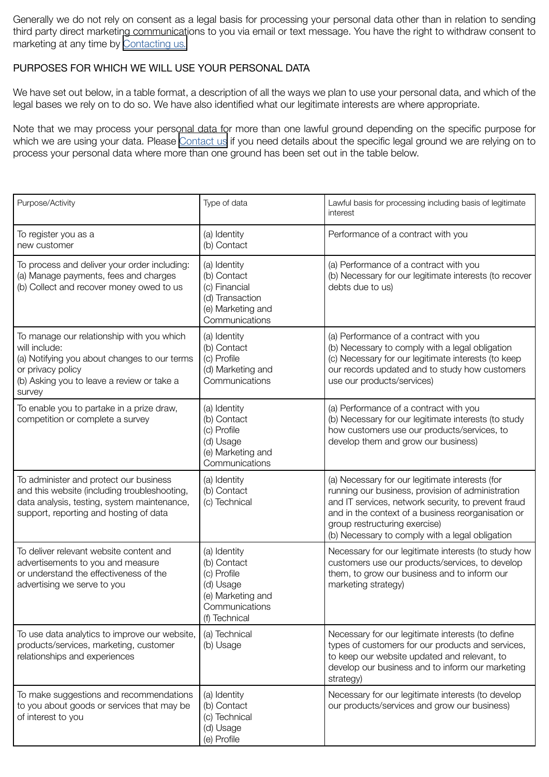Generally we do not rely on consent as a legal basis for processing your personal data other than in relation to sending third party direct marketing communications to you via email or text message. You have the right to withdraw consent to marketing at any time by [Contacting us](#page-1-0)*.*

# PURPOSES FOR WHICH WE WILL USE YOUR PERSONAL DATA

We have set out below, in a table format, a description of all the ways we plan to use your personal data, and which of the legal bases we rely on to do so. We have also identified what our legitimate interests are where appropriate.

Note that we may process your personal data for more than one lawful ground depending on the specific purpose for which we are using your data. Please [Contact us](#page-1-0) if you need details about the specific legal ground we are relying on to process your personal data where more than one ground has been set out in the table below.

<span id="page-3-0"></span>

| Purpose/Activity                                                                                                                                                                        | Type of data                                                                                                    | Lawful basis for processing including basis of legitimate<br>interest                                                                                                                                                                                                                                 |
|-----------------------------------------------------------------------------------------------------------------------------------------------------------------------------------------|-----------------------------------------------------------------------------------------------------------------|-------------------------------------------------------------------------------------------------------------------------------------------------------------------------------------------------------------------------------------------------------------------------------------------------------|
| To register you as a<br>new customer                                                                                                                                                    | (a) Identity<br>(b) Contact                                                                                     | Performance of a contract with you                                                                                                                                                                                                                                                                    |
| To process and deliver your order including:<br>(a) Manage payments, fees and charges<br>(b) Collect and recover money owed to us                                                       | (a) Identity<br>(b) Contact<br>(c) Financial<br>(d) Transaction<br>(e) Marketing and<br>Communications          | (a) Performance of a contract with you<br>(b) Necessary for our legitimate interests (to recover<br>debts due to us)                                                                                                                                                                                  |
| To manage our relationship with you which<br>will include:<br>(a) Notifying you about changes to our terms<br>or privacy policy<br>(b) Asking you to leave a review or take a<br>survey | (a) Identity<br>(b) Contact<br>(c) Profile<br>(d) Marketing and<br>Communications                               | (a) Performance of a contract with you<br>(b) Necessary to comply with a legal obligation<br>(c) Necessary for our legitimate interests (to keep<br>our records updated and to study how customers<br>use our products/services)                                                                      |
| To enable you to partake in a prize draw,<br>competition or complete a survey                                                                                                           | (a) Identity<br>(b) Contact<br>(c) Profile<br>(d) Usage<br>(e) Marketing and<br>Communications                  | (a) Performance of a contract with you<br>(b) Necessary for our legitimate interests (to study<br>how customers use our products/services, to<br>develop them and grow our business)                                                                                                                  |
| To administer and protect our business<br>and this website (including troubleshooting,<br>data analysis, testing, system maintenance,<br>support, reporting and hosting of data         | (a) Identity<br>(b) Contact<br>(c) Technical                                                                    | (a) Necessary for our legitimate interests (for<br>running our business, provision of administration<br>and IT services, network security, to prevent fraud<br>and in the context of a business reorganisation or<br>group restructuring exercise)<br>(b) Necessary to comply with a legal obligation |
| To deliver relevant website content and<br>advertisements to you and measure<br>or understand the effectiveness of the<br>advertising we serve to you                                   | (a) Identity<br>(b) Contact<br>(c) Profile<br>(d) Usage<br>(e) Marketing and<br>Communications<br>(f) Technical | Necessary for our legitimate interests (to study how<br>customers use our products/services, to develop<br>them, to grow our business and to inform our<br>marketing strategy)                                                                                                                        |
| To use data analytics to improve our website,<br>products/services, marketing, customer<br>relationships and experiences                                                                | (a) Technical<br>(b) Usage                                                                                      | Necessary for our legitimate interests (to define<br>types of customers for our products and services,<br>to keep our website updated and relevant, to<br>develop our business and to inform our marketing<br>strategy)                                                                               |
| To make suggestions and recommendations<br>to you about goods or services that may be<br>of interest to you                                                                             | (a) Identity<br>(b) Contact<br>(c) Technical<br>(d) Usage<br>(e) Profile                                        | Necessary for our legitimate interests (to develop<br>our products/services and grow our business)                                                                                                                                                                                                    |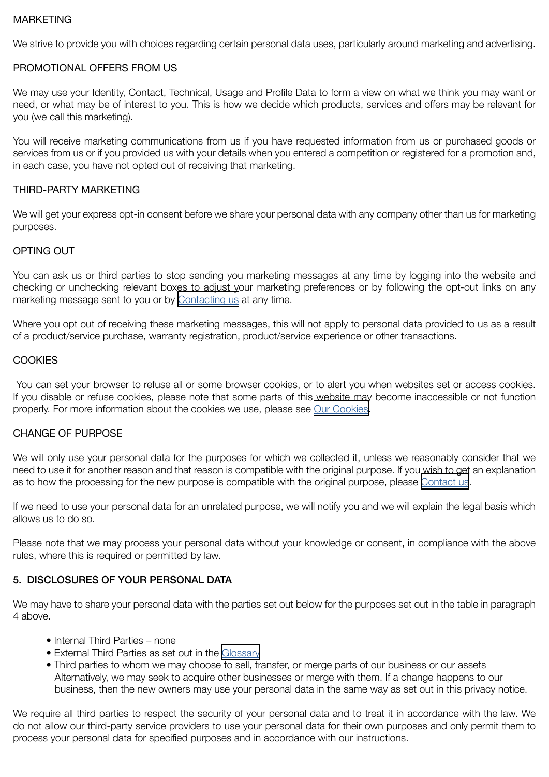# MARKETING

We strive to provide you with choices regarding certain personal data uses, particularly around marketing and advertising.

#### PROMOTIONAL OFFERS FROM US

We may use your Identity, Contact, Technical, Usage and Profile Data to form a view on what we think you may want or need, or what may be of interest to you. This is how we decide which products, services and offers may be relevant for you (we call this marketing).

You will receive marketing communications from us if you have requested information from us or purchased goods or services from us or if you provided us with your details when you entered a competition or registered for a promotion and, in each case, you have not opted out of receiving that marketing.

#### THIRD-PARTY MARKETING

We will get your express opt-in consent before we share your personal data with any company other than us for marketing purposes.

#### OPTING OUT

You can ask us or third parties to stop sending you marketing messages at any time by logging into the website and checking or unchecking relevant boxes to adjust your marketing preferences or by following the opt-out links on any marketing message sent to you or by [Contacting us](#page-1-0) at any time.

Where you opt out of receiving these marketing messages, this will not apply to personal data provided to us as a result of a product/service purchase, warranty registration, product/service experience or other transactions.

#### **COOKIES**

You can set your browser to refuse all or some browser cookies, or to alert you when websites set or access cookies. If you disable or refuse cookies, please note that some parts of this website may become inaccessible or not function properly. For more information about the cookies we use, please see [Our Cookies.](#page-3-0)

#### CHANGE OF PURPOSE

We will only use your personal data for the purposes for which we collected it, unless we reasonably consider that we need to use it for another reason and that reason is compatible with the original purpose. If you wish to get an explanation as to how the processing for the new purpose is compatible with the original purpose, please [Contact us.](#page-1-0)

If we need to use your personal data for an unrelated purpose, we will notify you and we will explain the legal basis which allows us to do so.

Please note that we may process your personal data without your knowledge or consent, in compliance with the above rules, where this is required or permitted by law.

#### 5. DISCLOSURES OF YOUR PERSONAL DATA

We may have to share your personal data with the parties set out below for the purposes set out in the table in paragraph 4 above.

- Internal Third Parties none
- External Third Parties as set out in the Glossary
- Third parties to whom we may choose to sell, transfer, or merge parts of our business or our assets Alternatively, we may seek to acquire other businesses or merge with them. If a change happens to our business, then the new owners may use your personal data in the same way as set out in this privacy notice.

We require all third parties to respect the security of your personal data and to treat it in accordance with the law. We do not allow our third-party service providers to use your personal data for their own purposes and only permit them to process your personal data for specified purposes and in accordance with our instructions.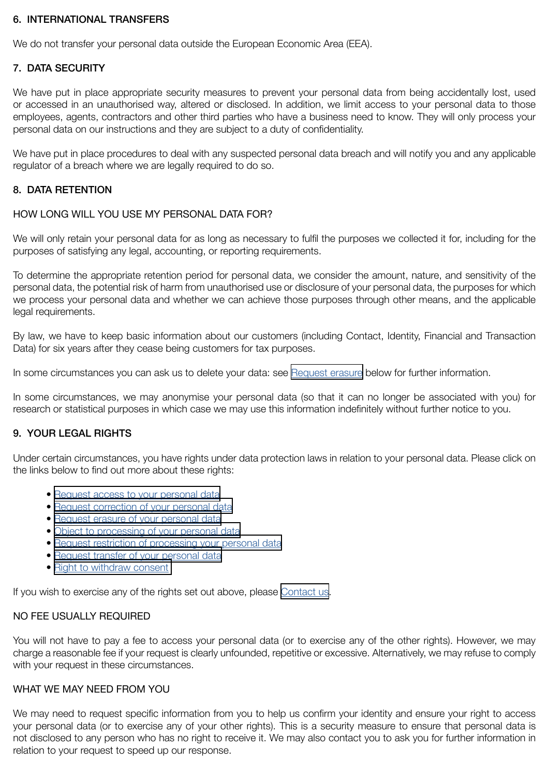# 6. INTERNATIONAL TRANSFERS

We do not transfer your personal data outside the European Economic Area (EEA).

# 7. DATA SECURITY

We have put in place appropriate security measures to prevent your personal data from being accidentally lost, used or accessed in an unauthorised way, altered or disclosed. In addition, we limit access to your personal data to those employees, agents, contractors and other third parties who have a business need to know. They will only process your personal data on our instructions and they are subject to a duty of confidentiality.

We have put in place procedures to deal with any suspected personal data breach and will notify you and any applicable regulator of a breach where we are legally required to do so.

#### 8. DATA RETENTION

#### HOW LONG WILL YOU USE MY PERSONAL DATA FOR?

We will only retain your personal data for as long as necessary to fulfil the purposes we collected it for, including for the purposes of satisfying any legal, accounting, or reporting requirements.

To determine the appropriate retention period for personal data, we consider the amount, nature, and sensitivity of the personal data, the potential risk of harm from unauthorised use or disclosure of your personal data, the purposes for which we process your personal data and whether we can achieve those purposes through other means, and the applicable legal requirements.

By law, we have to keep basic information about our customers (including Contact, Identity, Financial and Transaction Data) for six years after they cease being customers for tax purposes.

In some circumstances you can ask us to delete your data: see [Request erasure](#page-6-0) below for further information.

In some circumstances, we may anonymise your personal data (so that it can no longer be associated with you) for research or statistical purposes in which case we may use this information indefinitely without further notice to you.

#### 9. YOUR LEGAL RIGHTS

Under certain circumstances, you have rights under data protection laws in relation to your personal data. Please click on the links below to find out more about these rights:

- [Request access to your personal data](#page-6-1)
- [Request correction of your personal data](#page-6-2)
- [Request erasure of your personal data](#page-6-0)
- [Object to processing of your personal data](#page-6-3)
- [Request restriction of processing your personal data](#page-7-0)
- [Request transfer of your personal data](#page-7-1)
- [Right to withdraw consent](#page-7-2)

If you wish to exercise any of the rights set out above, please [Contact us.](#page-1-0)

#### NO FEE USUALLY REQUIRED

You will not have to pay a fee to access your personal data (or to exercise any of the other rights). However, we may charge a reasonable fee if your request is clearly unfounded, repetitive or excessive. Alternatively, we may refuse to comply with your request in these circumstances.

#### WHAT WE MAY NEED FROM YOU

We may need to request specific information from you to help us confirm your identity and ensure your right to access your personal data (or to exercise any of your other rights). This is a security measure to ensure that personal data is not disclosed to any person who has no right to receive it. We may also contact you to ask you for further information in relation to your request to speed up our response.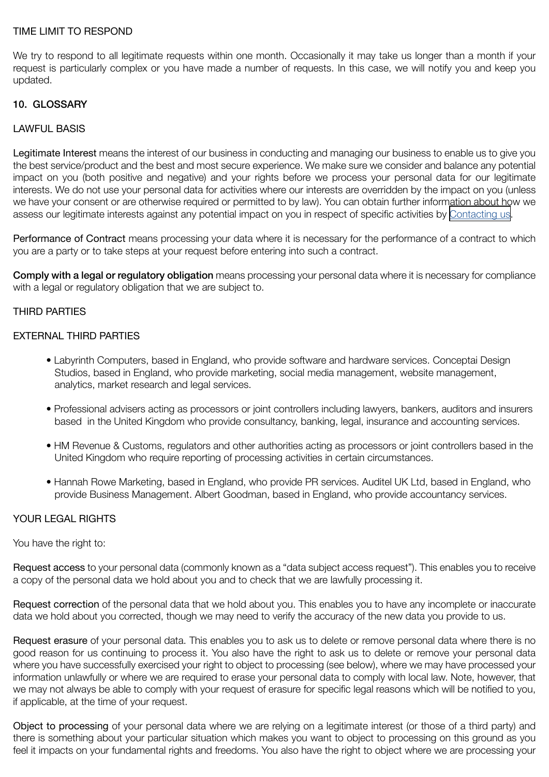#### TIME LIMIT TO RESPOND

We try to respond to all legitimate requests within one month. Occasionally it may take us longer than a month if your request is particularly complex or you have made a number of requests. In this case, we will notify you and keep you updated.

# 10. GLOSSARY

#### LAWFUL BASIS

Legitimate Interest means the interest of our business in conducting and managing our business to enable us to give you the best service/product and the best and most secure experience. We make sure we consider and balance any potential impact on you (both positive and negative) and your rights before we process your personal data for our legitimate interests. We do not use your personal data for activities where our interests are overridden by the impact on you (unless we have your consent or are otherwise required or permitted to by law). You can obtain further information about how we assess our legitimate interests against any potential impact on you in respect of specific activities by [Contacting us.](#page-1-0)

Performance of Contract means processing your data where it is necessary for the performance of a contract to which you are a party or to take steps at your request before entering into such a contract.

Comply with a legal or regulatory obligation means processing your personal data where it is necessary for compliance with a legal or regulatory obligation that we are subject to.

#### THIRD PARTIES

#### EXTERNAL THIRD PARTIES

- Labyrinth Computers, based in England, who provide software and hardware services. Conceptai Design Studios, based in England, who provide marketing, social media management, website management, analytics, market research and legal services.
- Professional advisers acting as processors or joint controllers including lawyers, bankers, auditors and insurers based in the United Kingdom who provide consultancy, banking, legal, insurance and accounting services.
- HM Revenue & Customs, regulators and other authorities acting as processors or joint controllers based in the United Kingdom who require reporting of processing activities in certain circumstances.
- Hannah Rowe Marketing, based in England, who provide PR services. Auditel UK Ltd, based in England, who provide Business Management. Albert Goodman, based in England, who provide accountancy services.

#### YOUR LEGAL RIGHTS

You have the right to:

<span id="page-6-1"></span>Request access to your personal data (commonly known as a "data subject access request"). This enables you to receive a copy of the personal data we hold about you and to check that we are lawfully processing it.

<span id="page-6-2"></span>Request correction of the personal data that we hold about you. This enables you to have any incomplete or inaccurate data we hold about you corrected, though we may need to verify the accuracy of the new data you provide to us.

<span id="page-6-0"></span>Request erasure of your personal data. This enables you to ask us to delete or remove personal data where there is no good reason for us continuing to process it. You also have the right to ask us to delete or remove your personal data where you have successfully exercised your right to object to processing (see below), where we may have processed your information unlawfully or where we are required to erase your personal data to comply with local law. Note, however, that we may not always be able to comply with your request of erasure for specific legal reasons which will be notified to you, if applicable, at the time of your request.

<span id="page-6-3"></span>Object to processing of your personal data where we are relying on a legitimate interest (or those of a third party) and there is something about your particular situation which makes you want to object to processing on this ground as you feel it impacts on your fundamental rights and freedoms. You also have the right to object where we are processing your